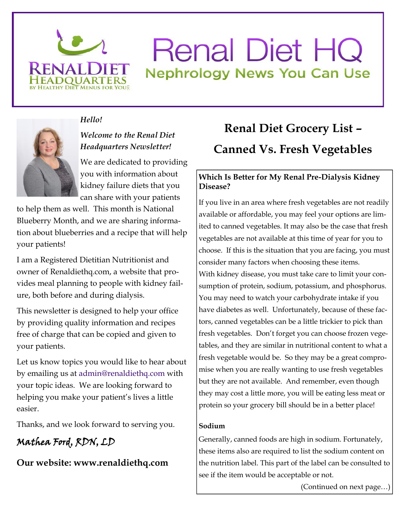

# **Renal Diet HQ Nephrology News You Can Use**



# *Hello!*

# *Welcome to the Renal Diet Headquarters Newsletter!*

We are dedicated to providing you with information about kidney failure diets that you can share with your patients

to help them as well. This month is National Blueberry Month, and we are sharing information about blueberries and a recipe that will help your patients!

I am a Registered Dietitian Nutritionist and owner of Renaldiethq.com, a website that provides meal planning to people with kidney failure, both before and during dialysis.

This newsletter is designed to help your office by providing quality information and recipes free of charge that can be copied and given to your patients.

Let us know topics you would like to hear about by emailing us at admin@renaldiethq.com with your topic ideas. We are looking forward to helping you make your patient's lives a little easier.

Thanks, and we look forward to serving you.

# **Mathea Ford, RDN, LD**

**Our website: www.renaldiethq.com**

# **Renal Diet Grocery List – Canned Vs. Fresh Vegetables**

### **Which Is Better for My Renal Pre-Dialysis Kidney Disease?**

If you live in an area where fresh vegetables are not readily available or affordable, you may feel your options are limited to canned vegetables. It may also be the case that fresh vegetables are not available at this time of year for you to choose. If this is the situation that you are facing, you must consider many factors when choosing these items. With kidney disease, you must take care to limit your consumption of protein, sodium, potassium, and phosphorus. You may need to watch your carbohydrate intake if you have diabetes as well. Unfortunately, because of these factors, canned vegetables can be a little trickier to pick than fresh vegetables. Don't forget you can choose frozen vegetables, and they are similar in nutritional content to what a fresh vegetable would be. So they may be a great compromise when you are really wanting to use fresh vegetables but they are not available. And remember, even though they may cost a little more, you will be eating less meat or protein so your grocery bill should be in a better place!

### **Sodium**

Generally, canned foods are high in sodium. Fortunately, these items also are required to list the sodium content on the nutrition label. This part of the label can be consulted to see if the item would be acceptable or not.

(Continued on next page…)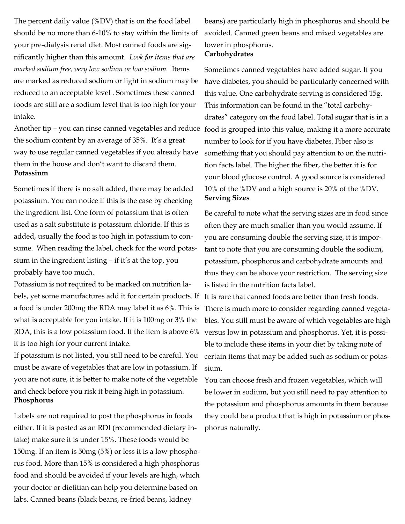The percent daily value (%DV) that is on the food label should be no more than 6-10% to stay within the limits of your pre-dialysis renal diet. Most canned foods are significantly higher than this amount. *Look for items that are marked sodium free, very low sodium or low sodium.* Items are marked as reduced sodium or light in sodium may be reduced to an acceptable level . Sometimes these canned foods are still are a sodium level that is too high for your intake.

the sodium content by an average of 35%. It's a great way to use regular canned vegetables if you already have them in the house and don't want to discard them. **Potassium**

Sometimes if there is no salt added, there may be added potassium. You can notice if this is the case by checking the ingredient list. One form of potassium that is often used as a salt substitute is potassium chloride. If this is added, usually the food is too high in potassium to consume. When reading the label, check for the word potassium in the ingredient listing – if it's at the top, you probably have too much.

Potassium is not required to be marked on nutrition labels, yet some manufactures add it for certain products. If a food is under 200mg the RDA may label it as 6%. This is what is acceptable for you intake. If it is 100mg or 3% the RDA, this is a low potassium food. If the item is above 6% it is too high for your current intake.

If potassium is not listed, you still need to be careful. You must be aware of vegetables that are low in potassium. If you are not sure, it is better to make note of the vegetable and check before you risk it being high in potassium. **Phosphorus**

Labels are not required to post the phosphorus in foods either. If it is posted as an RDI (recommended dietary intake) make sure it is under 15%. These foods would be 150mg. If an item is 50mg (5%) or less it is a low phosphorus food. More than 15% is considered a high phosphorus food and should be avoided if your levels are high, which your doctor or dietitian can help you determine based on labs. Canned beans (black beans, re-fried beans, kidney

beans) are particularly high in phosphorus and should be avoided. Canned green beans and mixed vegetables are lower in phosphorus. **Carbohydrates**

Another tip – you can rinse canned vegetables and reduce food is grouped into this value, making it a more accurate Sometimes canned vegetables have added sugar. If you have diabetes, you should be particularly concerned with this value. One carbohydrate serving is considered 15g. This information can be found in the "total carbohydrates" category on the food label. Total sugar that is in a number to look for if you have diabetes. Fiber also is something that you should pay attention to on the nutrition facts label. The higher the fiber, the better it is for your blood glucose control. A good source is considered 10% of the %DV and a high source is 20% of the %DV. **Serving Sizes**

> Be careful to note what the serving sizes are in food since often they are much smaller than you would assume. If you are consuming double the serving size, it is important to note that you are consuming double the sodium, potassium, phosphorus and carbohydrate amounts and thus they can be above your restriction. The serving size is listed in the nutrition facts label.

> It is rare that canned foods are better than fresh foods. There is much more to consider regarding canned vegetables. You still must be aware of which vegetables are high versus low in potassium and phosphorus. Yet, it is possible to include these items in your diet by taking note of certain items that may be added such as sodium or potassium.

> You can choose fresh and frozen vegetables, which will be lower in sodium, but you still need to pay attention to the potassium and phosphorus amounts in them because they could be a product that is high in potassium or phosphorus naturally.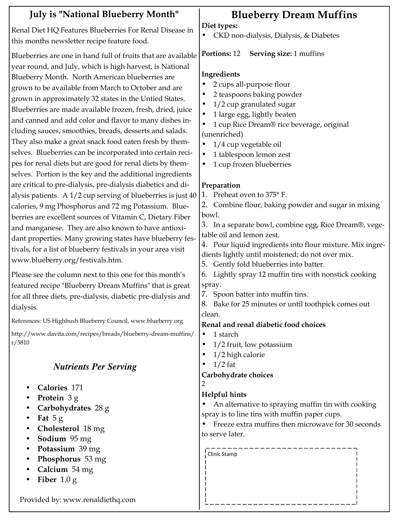# **July is "National Blueberry Month"**

Renal Diet HQ Features Blueberries For Renal Disease in this months newsletter recipe feature food.

Blueberries are one in hand full of fruits that are available year round, and July, which is high harvest, is National Blueberry Month. North American blueberries are grown to be available from March to October and are grown in approximately 32 states in the Untied States. Blueberries are made available frozen, fresh, dried, juice and canned and add color and flavor to many dishes including sauces, smoothies, breads, desserts and salads. They also make a great snack food eaten fresh by themselves. Blueberries can be incorporated into certain recipes for renal diets but are good for renal diets by themselves. Portion is the key and the additional ingredients are critical to pre-dialysis, pre-dialysis diabetics and dialysis patients. A 1/2 cup serving of blueberries is just 40 calories, 9 mg Phosphorus and 72 mg Potassium. Blueberries are excellent sources of Vitamin C, Dietary Fiber and manganese. They are also known to have antioxidant properties. Many growing states have blueberry festivals, for a list of blueberry festivals in your area visit www.blueberry.org/festivals.htm.

Please see the column next to this one for this month's featured recipe "Blueberry Dream Muffins" that is great for all three diets, pre-dialysis, diabetic pre-dialysis and dialysis.

References: US Highbush Blueberry Council, www.blueberry.org

http://www.davita.com/recipes/breads/blueberry-dream-muffins/ r/5810

# *Nutrients Per Serving*

- **Calories** 171
- **Protein** 3 g
- **Carbohydrates** 28 g
- **Fat** 5 g
- **Cholesterol** 18 mg
- **Sodium** 95 mg
- **Potassium** 39 mg
- **Phosphorus** 53 mg
- **Calcium** 54 mg
- **Fiber** 1.0 g

Provided by: www.renaldiethq.com

# **Blueberry Dream Muffins**

#### **Diet types:**

• CKD non-dialysis, Dialysis, & Diabetes

# **Portions:** 12 **Serving size:** 1 muffins

# **Ingredients**

- 2 cups all-purpose flour
- 2 teaspoons baking powder
- 1/2 cup granulated sugar
- 1 large egg, lightly beaten
- 1 cup Rice Dream® rice beverage, original (unenriched)
- 1/4 cup vegetable oil
- 1 tablespoon lemon zest
- 1 cup frozen blueberries

# **Preparation**

1. Preheat oven to 375° F.

2. Combine flour, baking powder and sugar in mixing bowl.

3. In a separate bowl, combine egg, Rice Dream®, vegetable oil and lemon zest.

4. Pour liquid ingredients into flour mixture. Mix ingredients lightly until moistened; do not over mix.

5. Gently fold blueberries into batter.

6. Lightly spray 12 muffin tins with nonstick cooking spray.

7. Spoon batter into muffin tins.

8. Bake for 25 minutes or until toothpick comes out clean.

# **Renal and renal diabetic food choices**

- 1 starch
- 1/2 fruit, low potassium
- 1/2 high calorie
- $\bullet$  1/2 fat

**Carbohydrate choices**

#### 2 **Helpful hints**

• An alternative to spraying muffin tin with cooking spray is to line tins with muffin paper cups.

• Freeze extra muffins then microwave for 30 seconds to serve later.

Clinic Stamp